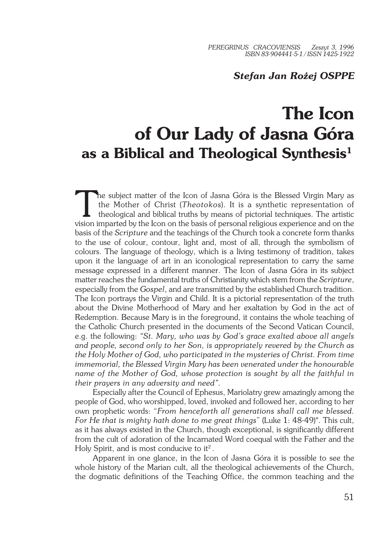## *Stefan Jan Rożej OSPPE*

## **The Icon of Our Lady of Jasna Góra as a Biblical and Theological Synthesis<sup>1</sup>**

The subject matter of the Icon of Jasna Góra is the Blessed Virgin Mary as<br>the Mother of Christ (*Theotokos*). It is a synthetic representation of<br>theological and biblical truths by means of pictorial techniques. The artis he subject matter of the Icon of Jasna Góra is the Blessed Virgin Mary as the Mother of Christ (*Theotokos*). It is a synthetic representation of theological and biblical truths by means of pictorial techniques. The artistic basis of the *Scripture* and the teachings of the Church took a concrete form thanks to the use of colour, contour, light and, most of all, through the symbolism of colours. The language of theology, which is a living testimony of tradition, takes upon it the language of art in an iconological representation to carry the same message expressed in a different manner. The Icon of Jasna Góra in its subject matter reaches the fundamental truths of Christianity which stem from the *Scripture*, especially from the *Gospel*, and are transmitted by the established Church tradition. The Icon portrays the Virgin and Child. It is a pictorial representation of the truth about the Divine Motherhood of Mary and her exaltation by God in the act of Redemption. Because Mary is in the foreground, it contains the whole teaching of the Catholic Church presented in the documents of the Second Vatican Council, e.g. the following: *"St. Mary, who was by God's grace exalted above all angels and people, second only to her Son, is appropriately revered by the Church as the Holy Mother of God, who participated in the mysteries of Christ. From time immemorial, the Blessed Virgin Mary has been venerated under the honourable name of the Mother of God, whose protection is sought by all the faithful in their prayers in any adversity and need".*

Especially after the Council of Ephesus, Mariolatry grew amazingly among the people of God, who worshipped, loved, invoked and followed her, according to her own prophetic words: "*From henceforth all generations shall call me blessed. For He that is mighty hath done to me great things*" (Luke 1: 48−49)\*. This cult, as it has always existed in the Church, though exceptional, is significantly different from the cult of adoration of the Incarnated Word coequal with the Father and the Holy Spirit, and is most conducive to it<sup>2</sup>.

Apparent in one glance, in the Icon of Jasna Góra it is possible to see the whole history of the Marian cult, all the theological achievements of the Church, the dogmatic definitions of the Teaching Office, the common teaching and the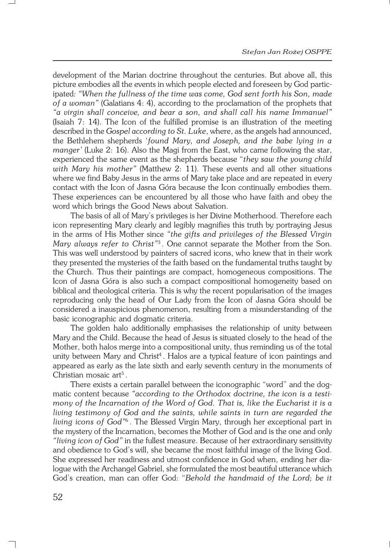development of the Marian doctrine throughout the centuries. But above all, this picture embodies all the events in which people elected and foreseen by God partic− ipated*: "When the fullness of the time was come, God sent forth his Son, made of a woman"* (Galatians 4: 4), according to the proclamation of the prophets that *"a virgin shall conceive, and bear a son, and shall call his name Immanuel"* (Isaiah 7: 14). The Icon of the fulfilled promise is an illustration of the meeting described in the *Gospel according to St. Luke*, where, as the angels had announced, the Bethlehem shepherds '*found Mary, and Joseph, and the babe lying in a manger'* (Luke 2: 16). Also the Magi from the East, who came following the star, experienced the same event as the shepherds because "*they saw the young child with Mary his mother"* (Matthew 2: 11). These events and all other situations where we find Baby Jesus in the arms of Mary take place and are repeated in every contact with the Icon of Jasna Góra because the Icon continually embodies them. These experiences can be encountered by all those who have faith and obey the word which brings the Good News about Salvation.

The basis of all of Mary's privileges is her Divine Motherhood. Therefore each icon representing Mary clearly and legibly magnifies this truth by portraying Jesus in the arms of His Mother since *"the gifts and privileges of the Blessed Virgin Mary always refer to Christ"*<sup>3</sup> . One cannot separate the Mother from the Son. This was well understood by painters of sacred icons, who knew that in their work they presented the mysteries of the faith based on the fundamental truths taught by the Church. Thus their paintings are compact, homogeneous compositions. The Icon of Jasna Góra is also such a compact compositional homogeneity based on biblical and theological criteria. This is why the recent popularisation of the images reproducing only the head of Our Lady from the Icon of Jasna Góra should be considered a inauspicious phenomenon, resulting from a misunderstanding of the basic iconographic and dogmatic criteria.

The golden halo additionally emphasises the relationship of unity between Mary and the Child. Because the head of Jesus is situated closely to the head of the Mother, both halos merge into a compositional unity, thus reminding us of the total unity between Mary and Christ<sup>4</sup> . Halos are a typical feature of icon paintings and appeared as early as the late sixth and early seventh century in the monuments of Christian mosaic art<sup>5</sup>.

There exists a certain parallel between the iconographic "word" and the dog− matic content because *"according to the Orthodox doctrine, the icon is a testi− mony of the Incarnation of the Word of God. That is, like the Eucharist it is a living testimony of God and the saints, while saints in turn are regarded the living icons of God"*<sup>6</sup> . The Blessed Virgin Mary, through her exceptional part in the mystery of the Incarnation, becomes the Mother of God and is the one and only *"living icon of God"* in the fullest measure. Because of her extraordinary sensitivity and obedience to God's will, she became the most faithful image of the living God. She expressed her readiness and utmost confidence in God when, ending her dia− logue with the Archangel Gabriel, she formulated the most beautiful utterance which God's creation, man can offer God: "*Behold the handmaid of the Lord; be it*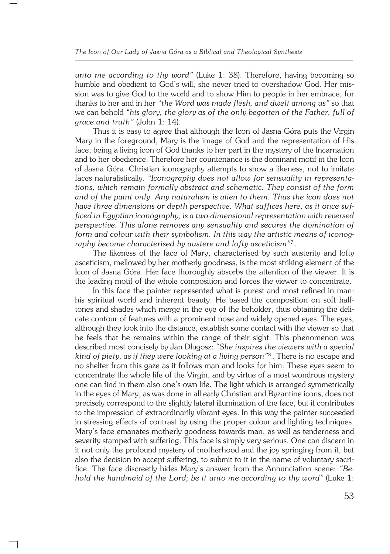*unto me according to thy word"* (Luke 1: 38). Therefore, having becoming so humble and obedient to God's will, she never tried to overshadow God. Her mis− sion was to give God to the world and to show Him to people in her embrace, for thanks to her and in her *"the Word was made flesh, and dwelt among us"* so that we can behold *"his glory, the glory as of the only begotten of the Father, full of grace and truth"* (John 1: 14).

Thus it is easy to agree that although the Icon of Jasna Góra puts the Virgin Mary in the foreground, Mary is the image of God and the representation of His face, being a living icon of God thanks to her part in the mystery of the Incarnation and to her obedience. Therefore her countenance is the dominant motif in the Icon of Jasna Góra. Christian iconography attempts to show a likeness, not to imitate faces naturalistically. *"Iconography does not allow for sensuality in representa− tions, which remain formally abstract and schematic. They consist of the form and of the paint only. Any naturalism is alien to them. Thus the icon does not have three dimensions or depth perspective. What suffices here, as it once suf− ficed in Egyptian iconography, is a two−dimensional representation with reversed perspective. This alone removes any sensuality and secures the domination of form and colour with their symbolism. In this way the artistic means of iconog− raphy become characterised by austere and lofty asceticism"*<sup>7</sup> .

The likeness of the face of Mary, characterised by such austerity and lofty asceticism, mellowed by her motherly goodness, is the most striking element of the Icon of Jasna Góra. Her face thoroughly absorbs the attention of the viewer. It is the leading motif of the whole composition and forces the viewer to concentrate.

In this face the painter represented what is purest and most refined in man: his spiritual world and inherent beauty. He based the composition on soft half− tones and shades which merge in the eye of the beholder, thus obtaining the deli− cate contour of features with a prominent nose and widely opened eyes. The eyes, although they look into the distance, establish some contact with the viewer so that he feels that he remains within the range of their sight. This phenomenon was described most concisely by Jan Długosz: *"She inspires the viewers with a special kind of piety, as if they were looking at a living person"*<sup>8</sup> . There is no escape and no shelter from this gaze as it follows man and looks for him. These eyes seem to concentrate the whole life of the Virgin, and by virtue of a most wondrous mystery one can find in them also one's own life. The light which is arranged symmetrically in the eyes of Mary, as was done in all early Christian and Byzantine icons, does not precisely correspond to the slightly lateral illumination of the face, but it contributes to the impression of extraordinarily vibrant eyes. In this way the painter succeeded in stressing effects of contrast by using the proper colour and lighting techniques. Mary's face emanates motherly goodness towards man, as well as tenderness and severity stamped with suffering. This face is simply very serious. One can discern in it not only the profound mystery of motherhood and the joy springing from it, but also the decision to accept suffering, to submit to it in the name of voluntary sacri− fice. The face discreetly hides Mary's answer from the Annunciation scene: *"Be− hold the handmaid of the Lord; be it unto me according to thy word"* (Luke 1: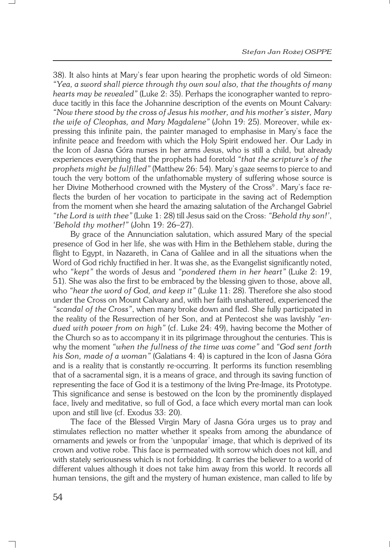38). It also hints at Mary's fear upon hearing the prophetic words of old Simeon: *"Yea, a sword shall pierce through thy own soul also, that the thoughts of many hearts may be revealed"* (Luke 2: 35). Perhaps the iconographer wanted to repro− duce tacitly in this face the Johannine description of the events on Mount Calvary: *"Now there stood by the cross of Jesus his mother, and his mother's sister, Mary the wife of Cleophas, and Mary Magdalene"* (John 19: 25). Moreover, while ex− pressing this infinite pain, the painter managed to emphasise in Mary's face the infinite peace and freedom with which the Holy Spirit endowed her. Our Lady in the Icon of Jasna Góra nurses in her arms Jesus, who is still a child, but already experiences everything that the prophets had foretold *"that the scripture's of the prophets might be fulfilled"* (Matthew 26: 54). Mary's gaze seems to pierce to and touch the very bottom of the unfathomable mystery of suffering whose source is her Divine Motherhood crowned with the Mystery of the Cross<sup>9</sup>. Mary's face reflects the burden of her vocation to participate in the saving act of Redemption from the moment when she heard the amazing salutation of the Archangel Gabriel *"the Lord is with thee"* (Luke 1: 28) till Jesus said on the Cross: *"Behold thy son!'*, *'Behold thy mother!"* (John 19: 26–27).

By grace of the Annunciation salutation, which assured Mary of the special presence of God in her life, she was with Him in the Bethlehem stable, during the flight to Egypt, in Nazareth, in Cana of Galilee and in all the situations when the Word of God richly fructified in her. It was she, as the Evangelist significantly noted, who *"kept"* the words of Jesus and *"pondered them in her heart"* (Luke 2: 19, 51). She was also the first to be embraced by the blessing given to those, above all, who *"hear the word of God, and keep it"* (Luke 11: 28). Therefore she also stood under the Cross on Mount Calvary and, with her faith unshattered, experienced the *"scandal of the Cross"*, when many broke down and fled. She fully participated in the reality of the Resurrection of her Son, and at Pentecost she was lavishly *"en− dued with power from on high"* (cf. Luke 24: 49), having become the Mother of the Church so as to accompany it in its pilgrimage throughout the centuries. This is why the moment *"when the fullness of the time was come"* and *"God sent forth his Son, made of a woman"* (Galatians 4: 4) is captured in the Icon of Jasna Góra and is a reality that is constantly re−occurring. It performs its function resembling that of a sacramental sign, it is a means of grace, and through its saving function of representing the face of God it is a testimony of the living Pre−Image, its Prototype. This significance and sense is bestowed on the Icon by the prominently displayed face, lively and meditative, so full of God, a face which every mortal man can look upon and still live (cf. Exodus 33: 20).

The face of the Blessed Virgin Mary of Jasna Góra urges us to pray and stimulates reflection no matter whether it speaks from among the abundance of ornaments and jewels or from the 'unpopular' image, that which is deprived of its crown and votive robe. This face is permeated with sorrow which does not kill, and with stately seriousness which is not forbidding. It carries the believer to a world of different values although it does not take him away from this world. It records all human tensions, the gift and the mystery of human existence, man called to life by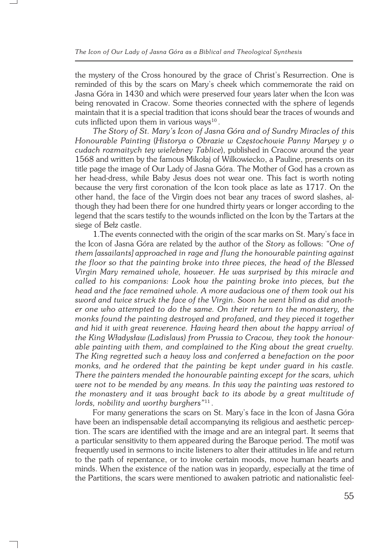the mystery of the Cross honoured by the grace of Christ's Resurrection. One is reminded of this by the scars on Mary's cheek which commemorate the raid on Jasna Góra in 1430 and which were preserved four years later when the Icon was being renovated in Cracow. Some theories connected with the sphere of legends maintain that it is a special tradition that icons should bear the traces of wounds and cuts inflicted upon them in various ways $^{10}$ .

*The Story of St. Mary's Icon of Jasna Góra and of Sundry Miracles of this Honourable Painting* (*Historya o Obrazie w Częstochowie Panny Maryey y o cudach rozmaitych tey wielebney Tablice*), published in Cracow around the year 1568 and written by the famous Mikołaj of Wilkowiecko, a Pauline, presents on its title page the image of Our Lady of Jasna Góra. The Mother of God has a crown as her head−dress, while Baby Jesus does not wear one. This fact is worth noting because the very first coronation of the Icon took place as late as 1717. On the other hand, the face of the Virgin does not bear any traces of sword slashes, al− though they had been there for one hundred thirty years or longer according to the legend that the scars testify to the wounds inflicted on the Icon by the Tartars at the siege of Bełz castle.

1.The events connected with the origin of the scar marks on St. Mary's face in the Icon of Jasna Góra are related by the author of the *Story* as follows: *"One of them [assailants] approached in rage and flung the honourable painting against the floor so that the painting broke into three pieces, the head of the Blessed Virgin Mary remained whole, however. He was surprised by this miracle and called to his companions: Look how the painting broke into pieces, but the head and the face remained whole. A more audacious one of them took out his sword and twice struck the face of the Virgin. Soon he went blind as did anoth− er one who attempted to do the same. On their return to the monastery, the monks found the painting destroyed and profaned, and they pieced it together and hid it with great reverence. Having heard then about the happy arrival of the King Władysław (Ladislaus) from Prussia to Cracow, they took the honour− able painting with them, and complained to the King about the great cruelty. The King regretted such a heavy loss and conferred a benefaction on the poor monks, and he ordered that the painting be kept under guard in his castle. There the painters mended the honourable painting except for the scars, which were not to be mended by any means. In this way the painting was restored to the monastery and it was brought back to its abode by a great multitude of lords, nobility and worthy burghers"*<sup>11</sup> .

For many generations the scars on St. Mary's face in the Icon of Jasna Góra have been an indispensable detail accompanying its religious and aesthetic percep− tion. The scars are identified with the image and are an integral part. It seems that a particular sensitivity to them appeared during the Baroque period. The motif was frequently used in sermons to incite listeners to alter their attitudes in life and return to the path of repentance, or to invoke certain moods, move human hearts and minds. When the existence of the nation was in jeopardy, especially at the time of the Partitions, the scars were mentioned to awaken patriotic and nationalistic feel−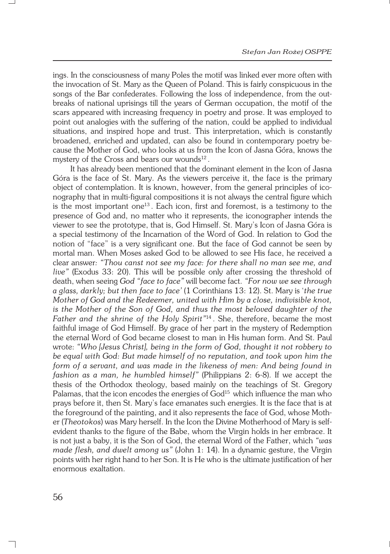ings. In the consciousness of many Poles the motif was linked ever more often with the invocation of St. Mary as the Queen of Poland. This is fairly conspicuous in the songs of the Bar confederates. Following the loss of independence, from the out− breaks of national uprisings till the years of German occupation, the motif of the scars appeared with increasing frequency in poetry and prose. It was employed to point out analogies with the suffering of the nation, could be applied to individual situations, and inspired hope and trust. This interpretation, which is constantly broadened, enriched and updated, can also be found in contemporary poetry be− cause the Mother of God, who looks at us from the Icon of Jasna Góra, knows the mystery of the Cross and bears our wounds<sup>12</sup>.

It has already been mentioned that the dominant element in the Icon of Jasna Góra is the face of St. Mary. As the viewers perceive it, the face is the primary object of contemplation. It is known, however, from the general principles of ico− nography that in multi−figural compositions it is not always the central figure which is the most important one<sup>13</sup>. Each icon, first and foremost, is a testimony to the presence of God and, no matter who it represents, the iconographer intends the viewer to see the prototype, that is, God Himself. St. Mary's Icon of Jasna Góra is a special testimony of the Incarnation of the Word of God. In relation to God the notion of "face" is a very significant one. But the face of God cannot be seen by mortal man. When Moses asked God to be allowed to see His face, he received a clear answer*: "Thou canst not see my face: for there shall no man see me, and live"* (Exodus 33: 20). This will be possible only after crossing the threshold of death, when seeing *God "face to face"* will become fact. *"For now we see through a glass, darkly; but then face to face'* (1 Corinthians 13: 12). St. Mary is '*the true Mother of God and the Redeemer, united with Him by a close, indivisible knot, is the Mother of the Son of God, and thus the most beloved daughter of the Father and the shrine of the Holy Spirit"*<sup>14</sup> . She, therefore, became the most faithful image of God Himself. By grace of her part in the mystery of Redemption the eternal Word of God became closest to man in His human form. And St. Paul wrote: *"Who [Jesus Christ], being in the form of God, thought it not robbery to be equal with God: But made himself of no reputation, and took upon him the form of a servant, and was made in the likeness of men: And being found in fashion as a man, he humbled himself"* (Philippians 2: 6−8). If we accept the thesis of the Orthodox theology, based mainly on the teachings of St. Gregory Palamas, that the icon encodes the energies of God<sup>15</sup> which influence the man who prays before it, then St. Mary's face emanates such energies. It is the face that is at the foreground of the painting, and it also represents the face of God, whose Moth− er (*Theotokos*) was Mary herself. In the Icon the Divine Motherhood of Mary is self− evident thanks to the figure of the Babe, whom the Virgin holds in her embrace. It is not just a baby, it is the Son of God, the eternal Word of the Father, which *"was made flesh, and dwelt among us"* (John 1: 14). In a dynamic gesture, the Virgin points with her right hand to her Son. It is He who is the ultimate justification of her enormous exaltation.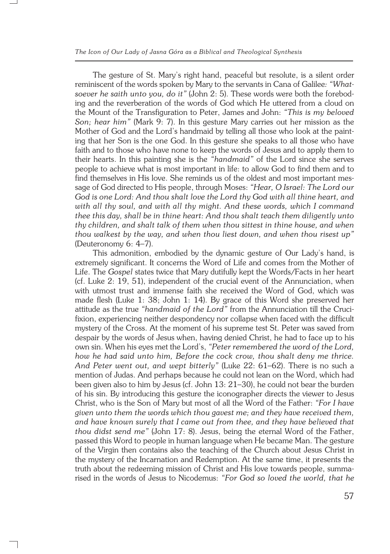The gesture of St. Mary's right hand, peaceful but resolute, is a silent order reminiscent of the words spoken by Mary to the servants in Cana of Galilee*: "What− soever he saith unto you, do it"* (John 2: 5). These words were both the forebod− ing and the reverberation of the words of God which He uttered from a cloud on the Mount of the Transfiguration to Peter, James and John: *"This is my beloved Son; hear him"* (Mark 9: 7). In this gesture Mary carries out her mission as the Mother of God and the Lord's handmaid by telling all those who look at the paint− ing that her Son is the one God. In this gesture she speaks to all those who have faith and to those who have none to keep the words of Jesus and to apply them to their hearts. In this painting she is the *"handmaid"* of the Lord since she serves people to achieve what is most important in life: to allow God to find them and to find themselves in His love. She reminds us of the oldest and most important mes− sage of God directed to His people, through Moses: *"Hear, O Israel: The Lord our God is one Lord: And thou shalt love the Lord thy God with all thine heart, and with all thy soul, and with all thy might. And these words, which I command thee this day, shall be in thine heart: And thou shalt teach them diligently unto thy children, and shalt talk of them when thou sittest in thine house, and when thou walkest by the way, and when thou liest down, and when thou risest up"* (Deuteronomy 6: 4–7).

This admonition, embodied by the dynamic gesture of Our Lady's hand, is extremely significant. It concerns the Word of Life and comes from the Mother of Life. The *Gospel* states twice that Mary dutifully kept the Words/Facts in her heart (cf. Luke 2: 19, 51), independent of the crucial event of the Annunciation, when with utmost trust and immense faith she received the Word of God, which was made flesh (Luke 1: 38; John 1: 14). By grace of this Word she preserved her attitude as the true *"handmaid of the Lord"* from the Annunciation till the Cruci− fixion, experiencing neither despondency nor collapse when faced with the difficult mystery of the Cross. At the moment of his supreme test St. Peter was saved from despair by the words of Jesus when, having denied Christ, he had to face up to his own sin. When his eyes met the Lord's, *"Peter remembered the word of the Lord, how he had said unto him, Before the cock crow, thou shalt deny me thrice. And Peter went out, and wept bitterly"* (Luke 22: 61–62). There is no such a mention of Judas. And perhaps because he could not lean on the Word, which had been given also to him by Jesus (cf. John 13: 21–30), he could not bear the burden of his sin. By introducing this gesture the iconographer directs the viewer to Jesus Christ, who is the Son of Mary but most of all the Word of the Father: *"For I have given unto them the words which thou gavest me; and they have received them, and have known surely that I came out from thee, and they have believed that thou didst send me"* (John 17: 8). Jesus, being the eternal Word of the Father, passed this Word to people in human language when He became Man. The gesture of the Virgin then contains also the teaching of the Church about Jesus Christ in the mystery of the Incarnation and Redemption. At the same time, it presents the truth about the redeeming mission of Christ and His love towards people, summa− rised in the words of Jesus to Nicodemus: *"For God so loved the world, that he*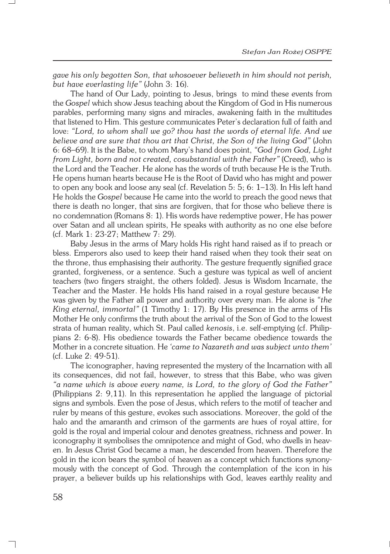*gave his only begotten Son, that whosoever believeth in him should not perish, but have everlasting life"* (John 3: 16).

The hand of Our Lady, pointing to Jesus, brings to mind these events from the *Gospel* which show Jesus teaching about the Kingdom of God in His numerous parables, performing many signs and miracles, awakening faith in the multitudes that listened to Him. This gesture communicates Peter's declaration full of faith and love: *"Lord, to whom shall we go? thou hast the words of eternal life. And we believe and are sure that thou art that Christ, the Son of the living God"* (John 6: 68–69). It is the Babe, to whom Mary's hand does point, *"God from God, Light from Light, born and not created, cosubstantial with the Father"* (Creed), who is the Lord and the Teacher. He alone has the words of truth because He is the Truth. He opens human hearts because He is the Root of David who has might and power to open any book and loose any seal (cf. Revelation 5: 5; 6: 1–13). In His left hand He holds the *Gospel* because He came into the world to preach the good news that there is death no longer, that sins are forgiven, that for those who believe there is no condemnation (Romans 8: 1). His words have redemptive power, He has power over Satan and all unclean spirits, He speaks with authority as no one else before (cf.Mark 1: 23−27; Matthew 7: 29).

Baby Jesus in the arms of Mary holds His right hand raised as if to preach or bless. Emperors also used to keep their hand raised when they took their seat on the throne, thus emphasising their authority. The gesture frequently signified grace granted, forgiveness, or a sentence. Such a gesture was typical as well of ancient teachers (two fingers straight, the others folded). Jesus is Wisdom Incarnate, the Teacher and the Master. He holds His hand raised in a royal gesture because He was given by the Father all power and authority over every man. He alone is *"the King eternal, immortal"* (1 Timothy 1: 17). By His presence in the arms of His Mother He only confirms the truth about the arrival of the Son of God to the lowest strata of human reality, which St. Paul called *kenosis*, i.e. self−emptying (cf. Philip− pians 2: 6−8). His obedience towards the Father became obedience towards the Mother in a concrete situation. He *'came to Nazareth and was subject unto them'* (cf. Luke 2: 49−51).

The iconographer, having represented the mystery of the Incarnation with all its consequences, did not fail, however, to stress that this Babe, who was given *"aname which is above every name, is Lord, to the glory of God the Father"* (Philippians 2: 9,11). In this representation he applied the language of pictorial signs and symbols. Even the pose of Jesus, which refers to the motif of teacher and ruler by means of this gesture, evokes such associations. Moreover, the gold of the halo and the amaranth and crimson of the garments are hues of royal attire, for gold is the royal and imperial colour and denotes greatness, richness and power. In iconography it symbolises the omnipotence and might of God, who dwells in heav− en. In Jesus Christ God became a man, he descended from heaven. Therefore the gold in the icon bears the symbol of heaven as a concept which functions synony− mously with the concept of God. Through the contemplation of the icon in his prayer, a believer builds up his relationships with God, leaves earthly reality and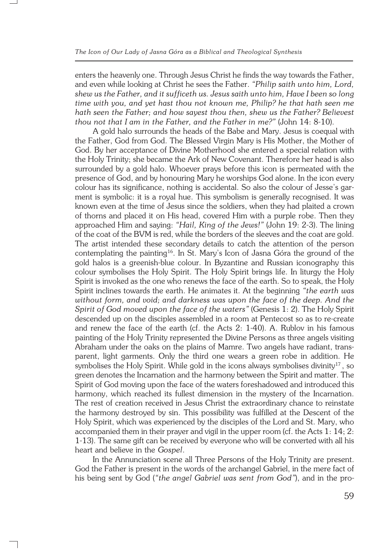enters the heavenly one. Through Jesus Christ he finds the way towards the Father, and even while looking at Christ he sees the Father. *"Philip saith unto him, Lord, shew us the Father, and it sufficeth us. Jesus saith unto him, Have I been so long time with you, and yet hast thou not known me, Philip? he that hath seen me hath seen the Father; and how sayest thou then, shew us the Father? Believest thou not that I am in the Father, and the Father in me?"* (John 14: 8−10).

A gold halo surrounds the heads of the Babe and Mary. Jesus is coequal with the Father, God from God. The Blessed Virgin Mary is His Mother, the Mother of God. By her acceptance of Divine Motherhood she entered a special relation with the Holy Trinity; she became the Ark of New Covenant. Therefore her head is also surrounded by a gold halo. Whoever prays before this icon is permeated with the presence of God, and by honouring Mary he worships God alone. In the icon every colour has its significance, nothing is accidental. So also the colour of Jesse's gar− ment is symbolic: it is a royal hue. This symbolism is generally recognised. It was known even at the time of Jesus since the soldiers, when they had plaited a crown of thorns and placed it on His head, covered Him with a purple robe. Then they approached Him and saying: *"Hail, King of the Jews!"* (John 19: 2−3). The lining of the coat of the BVM is red, while the borders of the sleeves and the coat are gold. The artist intended these secondary details to catch the attention of the person contemplating the painting<sup>16</sup>. In St. Mary's Icon of Jasna Góra the ground of the gold halos is a greenish−blue colour. In Byzantine and Russian iconography this colour symbolises the Holy Spirit. The Holy Spirit brings life. In liturgy the Holy Spirit is invoked as the one who renews the face of the earth. So to speak, the Holy Spirit inclines towards the earth. He animates it. At the beginning *"the earth was without form, and void; and darkness was upon the face of the deep. And the Spirit of God moved upon the face of the waters"* (Genesis 1: 2). The Holy Spirit descended up on the disciples assembled in a room at Pentecost so as to re−create and renew the face of the earth (cf. the Acts 2: 1−40). A. Rublov in his famous painting of the Holy Trinity represented the Divine Persons as three angels visiting Abraham under the oaks on the plains of Mamre. Two angels have radiant, trans− parent, light garments. Only the third one wears a green robe in addition. He symbolises the Holy Spirit. While gold in the icons always symbolises divinity<sup>17</sup>, so green denotes the Incarnation and the harmony between the Spirit and matter. The Spirit of God moving upon the face of the waters foreshadowed and introduced this harmony, which reached its fullest dimension in the mystery of the Incarnation. The rest of creation received in Jesus Christ the extraordinary chance to reinstate the harmony destroyed by sin. This possibility was fulfilled at the Descent of the Holy Spirit, which was experienced by the disciples of the Lord and St. Mary, who accompanied them in their prayer and vigil in the upper room (cf. the Acts 1: 14; 2: 1−13). The same gift can be received by everyone who will be converted with all his heart and believe in the *Gospel*.

In the Annunciation scene all Three Persons of the Holy Trinity are present. God the Father is present in the words of the archangel Gabriel, in the mere fact of his being sent by God (*"the angel Gabriel was sent from God"*), and in the pro−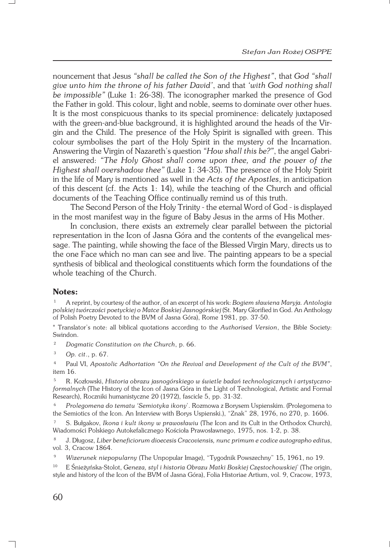nouncement that Jesus *"shall be called the Son of the Highest"*, that *God "shall give unto him the throne of his father David'*, and that *'with God nothing shall be impossible"* (Luke 1: 26−38). The iconographer marked the presence of God the Father in gold. This colour, light and noble, seems to dominate over other hues. It is the most conspicuous thanks to its special prominence: delicately juxtaposed with the green−and−blue background, it is highlighted around the heads of the Vir− gin and the Child. The presence of the Holy Spirit is signalled with green. This colour symbolises the part of the Holy Spirit in the mystery of the Incarnation. Answering the Virgin of Nazareth's question *"How shall this be?"*, the angel Gabri− el answered: *"The Holy Ghost shall come upon thee, and the power of the Highest shall overshadow thee"* (Luke 1: 34−35). The presence of the Holy Spirit in the life of Mary is mentioned as well in the *Acts of the Apostles*, in anticipation of this descent (cf. the Acts 1: 14), while the teaching of the Church and official documents of the Teaching Office continually remind us of this truth.

The Second Person of the Holy Trinity − the eternal Word of God − is displayed in the most manifest way in the figure of Baby Jesus in the arms of His Mother.

In conclusion, there exists an extremely clear parallel between the pictorial representation in the Icon of Jasna Góra and the contents of the evangelical mes− sage. The painting, while showing the face of the Blessed Virgin Mary, directs us to the one Face which no man can see and live. The painting appears to be a special synthesis of biblical and theological constituents which form the foundations of the whole teaching of the Church.

## **Notes:**

<sup>1</sup> A reprint, by courtesy of the author, of an excerpt of his work: *Bogiem sławiena Maryja. Antologia polskiej twórczości poetyckiej o Matce Boskiej Jasnogórskiej* (St. Mary Glorified in God. An Anthology of Polish Poetry Devoted to the BVM of Jasna Góra), Rome 1981, pp. 37−50.

\* Translator's note: all biblical quotations according to the *Authorised Version*, the Bible Society: Swindon.

<sup>2</sup> *Dogmatic Constitution on the Church*, p. 66.

<sup>3</sup> *Op. cit*., p. 67.

<sup>4</sup> Paul VI, *Apostolic Adhortation "On the Revival and Development of the Cult of the BVM"*, item 16.

<sup>5</sup> R. Kozłowski, *Historia obrazu jasnogórskiego w świetle badań technologicznych i artystyczno− formalnych* (The History of the Icon of Jasna Góra in the Light of Technological, Artistic and Formal Research), Roczniki humanistyczne 20 (1972), fascicle 5, pp. 31−32.

<sup>6</sup> *Prolegomena do tematu 'Semiotyka ikony*'. Rozmowa z Borysem Uspienskim. (Prolegomena to the Semiotics of the Icon. An Interview with Borys Uspienski.), "Znak" 28, 1976, no 270, p. 1606.

<sup>7</sup> S. Bułgakov, *Ikona i kult ikony w prawosławiu* (The Icon and its Cult in the Orthodox Church), Wiadomości Polskiego Autokefalicznego Kościoła Prawosławnego, 1975, nos. 1−2, p. 38.

<sup>8</sup> J. Długosz, *Liber beneficiorum dioecesis Cracoviensis, nunc primum e codice autographo editus*, vol. 3, Cracow 1864.

<sup>9</sup> *Wizerunek niepopularny* (The Unpopular Image), "Tygodnik Powszechny" 15, 1961, no 19.

<sup>10</sup> E Śnieżyńska−Stolot, *Geneza, styl i historia Obrazu Matki Boskiej Częstochowskiej*' (The origin, style and history of the Icon of the BVM of Jasna Góra), Folia Historiae Artium, vol. 9, Cracow, 1973,